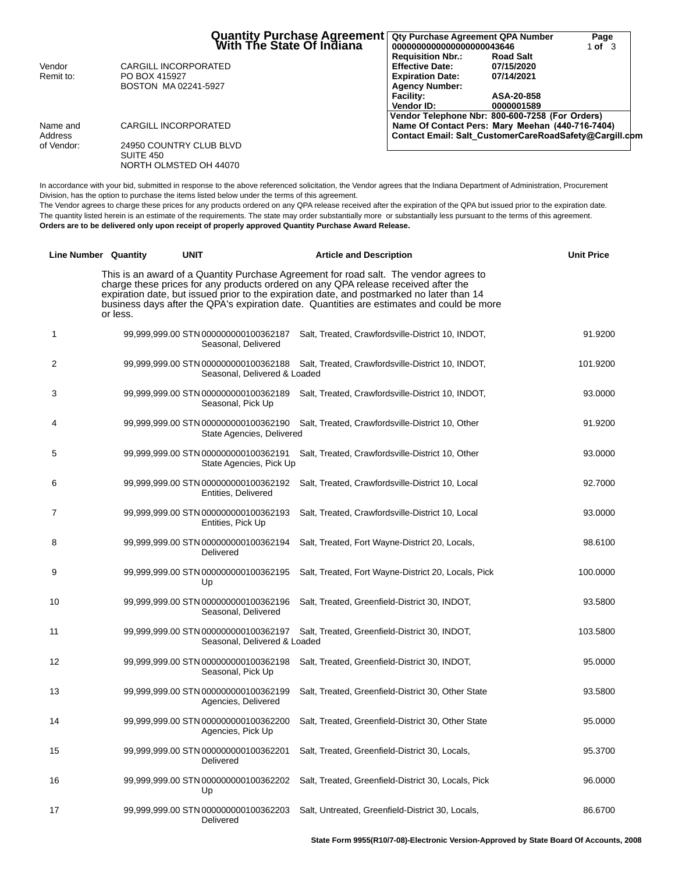|            | <b>Quantity Purchase Agreement</b><br>With The State Of Indiana | Qty Purchase Agreement QPA Number<br>0000000000000000000043646 | Page<br>1 of $\overline{3}$ |
|------------|-----------------------------------------------------------------|----------------------------------------------------------------|-----------------------------|
|            |                                                                 | <b>Requisition Nbr.:</b><br><b>Road Salt</b>                   |                             |
| Vendor     | <b>CARGILL INCORPORATED</b>                                     | <b>Effective Date:</b><br>07/15/2020                           |                             |
| Remit to:  | PO BOX 415927                                                   | <b>Expiration Date:</b><br>07/14/2021                          |                             |
|            | BOSTON MA02241-5927                                             | <b>Agency Number:</b>                                          |                             |
|            |                                                                 | <b>Facility:</b><br>ASA-20-858                                 |                             |
|            |                                                                 | <b>Vendor ID:</b><br>0000001589                                |                             |
|            |                                                                 | Vendor Telephone Nbr: 800-600-7258 (For Orders)                |                             |
| Name and   | CARGILL INCORPORATED                                            | Name Of Contact Pers: Mary Meehan (440-716-7404)               |                             |
| Address    |                                                                 | Contact Email: Salt CustomerCareRoadSafety@Cargill.com         |                             |
| of Vendor: | 24950 COUNTRY CLUB BLVD                                         |                                                                |                             |
|            | SUITE 450                                                       |                                                                |                             |
|            | NORTH OLMSTED OH 44070                                          |                                                                |                             |

In accordance with your bid, submitted in response to the above referenced solicitation, the Vendor agrees that the Indiana Department of Administration, Procurement Division, has the option to purchase the items listed below under the terms of this agreement.

The Vendor agrees to charge these prices for any products ordered on any QPA release received after the expiration of the QPA but issued prior to the expiration date. The quantity listed herein is an estimate of the requirements. The state may order substantially more or substantially less pursuant to the terms of this agreement. **Orders are to be delivered only upon receipt of properly approved Quantity Purchase Award Release.**

|    | <b>Line Number Quantity</b> | <b>UNIT</b>                                                     | <b>Article and Description</b>                                                                                                                                                                                                                                                                                                                                        | <b>Unit Price</b> |
|----|-----------------------------|-----------------------------------------------------------------|-----------------------------------------------------------------------------------------------------------------------------------------------------------------------------------------------------------------------------------------------------------------------------------------------------------------------------------------------------------------------|-------------------|
|    | or less.                    |                                                                 | This is an award of a Quantity Purchase Agreement for road salt. The vendor agrees to<br>charge these prices for any products ordered on any QPA release received after the<br>expiration date, but issued prior to the expiration date, and postmarked no later than 14<br>business days after the QPA's expiration date. Quantities are estimates and could be more |                   |
| 1  |                             | Seasonal, Delivered                                             | 99,999,999.00 STN 000000000100362187 Salt, Treated, Crawfordsville-District 10, INDOT,                                                                                                                                                                                                                                                                                | 91.9200           |
| 2  |                             | Seasonal, Delivered & Loaded                                    | 99,999,999.00 STN 000000000100362188 Salt, Treated, Crawfordsville-District 10, INDOT,                                                                                                                                                                                                                                                                                | 101.9200          |
| 3  |                             | Seasonal, Pick Up                                               | 99,999,999.00 STN 000000000100362189 Salt, Treated, Crawfordsville-District 10, INDOT,                                                                                                                                                                                                                                                                                | 93.0000           |
| 4  |                             | State Agencies, Delivered                                       | 99,999,999.00 STN 000000000100362190 Salt, Treated, Crawfordsville-District 10, Other                                                                                                                                                                                                                                                                                 | 91.9200           |
| 5  |                             | 99,999,999.00 STN 000000000100362191<br>State Agencies, Pick Up | Salt, Treated, Crawfordsville-District 10, Other                                                                                                                                                                                                                                                                                                                      | 93.0000           |
| 6  |                             | 99,999,999.00 STN 000000000100362192<br>Entities, Delivered     | Salt, Treated, Crawfordsville-District 10, Local                                                                                                                                                                                                                                                                                                                      | 92.7000           |
| 7  |                             | 99,999,999.00 STN 000000000100362193<br>Entities, Pick Up       | Salt, Treated, Crawfordsville-District 10, Local                                                                                                                                                                                                                                                                                                                      | 93.0000           |
| 8  |                             | Delivered                                                       | 99,999,999.00 STN 000000000100362194 Salt, Treated, Fort Wayne-District 20, Locals,                                                                                                                                                                                                                                                                                   | 98.6100           |
| 9  |                             | 99,999,999.00 STN 000000000100362195<br>Up                      | Salt, Treated, Fort Wayne-District 20, Locals, Pick                                                                                                                                                                                                                                                                                                                   | 100.0000          |
| 10 |                             | 99,999,999.00 STN 000000000100362196<br>Seasonal, Delivered     | Salt, Treated, Greenfield-District 30, INDOT,                                                                                                                                                                                                                                                                                                                         | 93.5800           |
| 11 |                             | Seasonal, Delivered & Loaded                                    | 99,999,999.00 STN 000000000100362197 Salt, Treated, Greenfield-District 30, INDOT,                                                                                                                                                                                                                                                                                    | 103.5800          |
| 12 |                             | 99,999,999.00 STN 000000000100362198<br>Seasonal, Pick Up       | Salt, Treated, Greenfield-District 30, INDOT,                                                                                                                                                                                                                                                                                                                         | 95.0000           |
| 13 |                             | 99,999,999.00 STN 000000000100362199<br>Agencies, Delivered     | Salt, Treated, Greenfield-District 30, Other State                                                                                                                                                                                                                                                                                                                    | 93.5800           |
| 14 |                             | 99,999,999.00 STN 000000000100362200<br>Agencies, Pick Up       | Salt, Treated, Greenfield-District 30, Other State                                                                                                                                                                                                                                                                                                                    | 95.0000           |
| 15 |                             | Delivered                                                       | 99,999,999.00 STN 000000000100362201 Salt, Treated, Greenfield-District 30, Locals,                                                                                                                                                                                                                                                                                   | 95.3700           |
| 16 |                             | 99,999,999.00 STN 000000000100362202<br>Up                      | Salt, Treated, Greenfield-District 30, Locals, Pick                                                                                                                                                                                                                                                                                                                   | 96.0000           |
| 17 |                             | Delivered                                                       | 99,999,999.00 STN 000000000100362203 Salt, Untreated, Greenfield-District 30, Locals,                                                                                                                                                                                                                                                                                 | 86.6700           |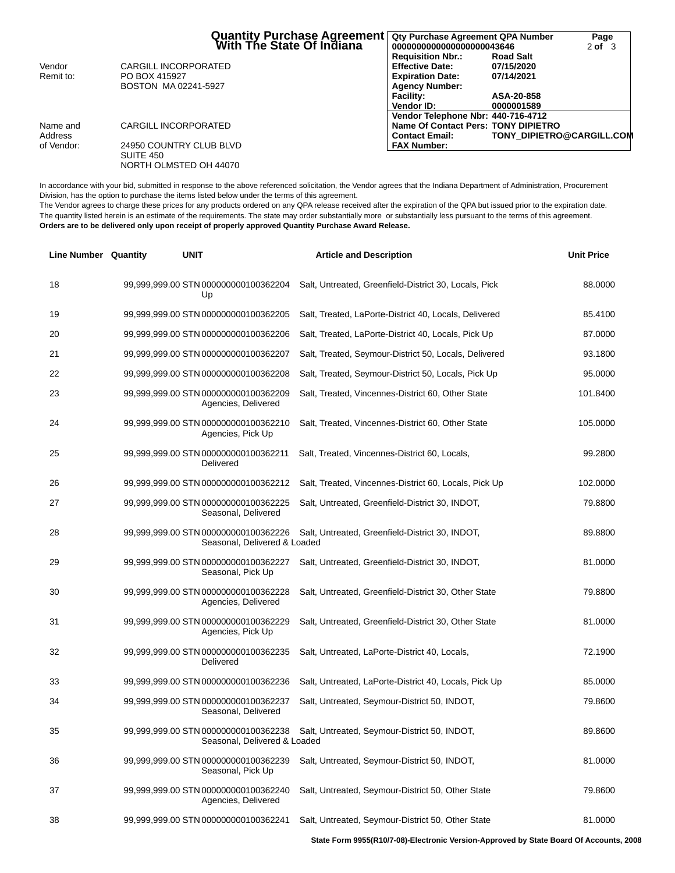|            | Quantity Purchase Agreement<br>Mith The State Of Indiana | Qty Purchase Agreement QPA Number<br>0000000000000000000043646 |                                  | Page<br>$2$ of $3$ |
|------------|----------------------------------------------------------|----------------------------------------------------------------|----------------------------------|--------------------|
| Vendor     | CARGILL INCORPORATED                                     | <b>Requisition Nbr.:</b><br><b>Effective Date:</b>             | <b>Road Salt</b><br>07/15/2020   |                    |
| Remit to:  | PO BOX 415927                                            | <b>Expiration Date:</b>                                        | 07/14/2021                       |                    |
|            | BOSTON MA 02241-5927                                     | <b>Agency Number:</b>                                          |                                  |                    |
|            |                                                          | <b>Facility:</b>                                               | ASA-20-858                       |                    |
|            |                                                          | Vendor ID:                                                     | 0000001589                       |                    |
|            |                                                          | Vendor Telephone Nbr: 440-716-4712                             |                                  |                    |
| Name and   | CARGILL INCORPORATED                                     | Name Of Contact Pers: TONY DIPIETRO                            |                                  |                    |
| Address    |                                                          | <b>Contact Email:</b>                                          | <b>TONY DIPIETRO@CARGILL.COM</b> |                    |
| of Vendor: | 24950 COUNTRY CLUB BLVD<br>SUITE 450                     | <b>FAX Number:</b>                                             |                                  |                    |
|            | NORTH OLMSTED OH 44070                                   |                                                                |                                  |                    |

In accordance with your bid, submitted in response to the above referenced solicitation, the Vendor agrees that the Indiana Department of Administration, Procurement Division, has the option to purchase the items listed below under the terms of this agreement.

The Vendor agrees to charge these prices for any products ordered on any QPA release received after the expiration of the QPA but issued prior to the expiration date. The quantity listed herein is an estimate of the requirements. The state may order substantially more or substantially less pursuant to the terms of this agreement. **Orders are to be delivered only upon receipt of properly approved Quantity Purchase Award Release.**

| <b>Line Number Quantity</b> | <b>UNIT</b> |                                                                      | <b>Article and Description</b>                        | <b>Unit Price</b> |
|-----------------------------|-------------|----------------------------------------------------------------------|-------------------------------------------------------|-------------------|
| 18                          |             | 99,999,999.00 STN 000000000100362204<br>Up                           | Salt, Untreated, Greenfield-District 30, Locals, Pick | 88.0000           |
| 19                          |             | 99,999,999.00 STN 000000000100362205                                 | Salt, Treated, LaPorte-District 40, Locals, Delivered | 85.4100           |
| 20                          |             | 99,999,999.00 STN 000000000100362206                                 | Salt, Treated, LaPorte-District 40, Locals, Pick Up   | 87.0000           |
| 21                          |             | 99,999,999.00 STN 000000000100362207                                 | Salt, Treated, Seymour-District 50, Locals, Delivered | 93.1800           |
| 22                          |             | 99,999,999.00 STN 000000000100362208                                 | Salt, Treated, Seymour-District 50, Locals, Pick Up   | 95.0000           |
| 23                          |             | 99,999,999.00 STN 000000000100362209<br>Agencies, Delivered          | Salt, Treated, Vincennes-District 60, Other State     | 101.8400          |
| 24                          |             | 99,999,999.00 STN 000000000100362210<br>Agencies, Pick Up            | Salt, Treated, Vincennes-District 60, Other State     | 105.0000          |
| 25                          |             | 99,999,999.00 STN 000000000100362211<br>Delivered                    | Salt, Treated, Vincennes-District 60, Locals,         | 99.2800           |
| 26                          |             | 99,999,999.00 STN 000000000100362212                                 | Salt, Treated, Vincennes-District 60, Locals, Pick Up | 102.0000          |
| 27                          |             | 99,999,999.00 STN 000000000100362225<br>Seasonal, Delivered          | Salt, Untreated, Greenfield-District 30, INDOT,       | 79.8800           |
| 28                          |             | 99,999,999.00 STN 000000000100362226<br>Seasonal, Delivered & Loaded | Salt, Untreated, Greenfield-District 30, INDOT,       | 89.8800           |
| 29                          |             | 99,999,999.00 STN 000000000100362227<br>Seasonal, Pick Up            | Salt, Untreated, Greenfield-District 30, INDOT,       | 81.0000           |
| 30                          |             | 99,999,999.00 STN 000000000100362228<br>Agencies, Delivered          | Salt, Untreated, Greenfield-District 30, Other State  | 79.8800           |
| 31                          |             | 99,999,999.00 STN 000000000100362229<br>Agencies, Pick Up            | Salt, Untreated, Greenfield-District 30, Other State  | 81.0000           |
| 32                          |             | 99,999,999.00 STN 000000000100362235<br>Delivered                    | Salt, Untreated, LaPorte-District 40, Locals,         | 72.1900           |
| 33                          |             | 99,999,999.00 STN 000000000100362236                                 | Salt, Untreated, LaPorte-District 40, Locals, Pick Up | 85.0000           |
| 34                          |             | 99,999,999.00 STN 000000000100362237<br>Seasonal, Delivered          | Salt, Untreated, Seymour-District 50, INDOT,          | 79.8600           |
| 35                          |             | 99,999,999.00 STN 000000000100362238<br>Seasonal, Delivered & Loaded | Salt, Untreated, Seymour-District 50, INDOT,          | 89.8600           |
| 36                          |             | 99,999,999.00 STN 000000000100362239<br>Seasonal, Pick Up            | Salt, Untreated, Seymour-District 50, INDOT,          | 81.0000           |
| 37                          |             | 99,999,999.00 STN 000000000100362240<br>Agencies, Delivered          | Salt, Untreated, Seymour-District 50, Other State     | 79.8600           |
| 38                          |             | 99,999,999.00 STN 000000000100362241                                 | Salt, Untreated, Seymour-District 50, Other State     | 81.0000           |

**State Form 9955(R10/7-08)-Electronic Version-Approved by State Board Of Accounts, 2008**